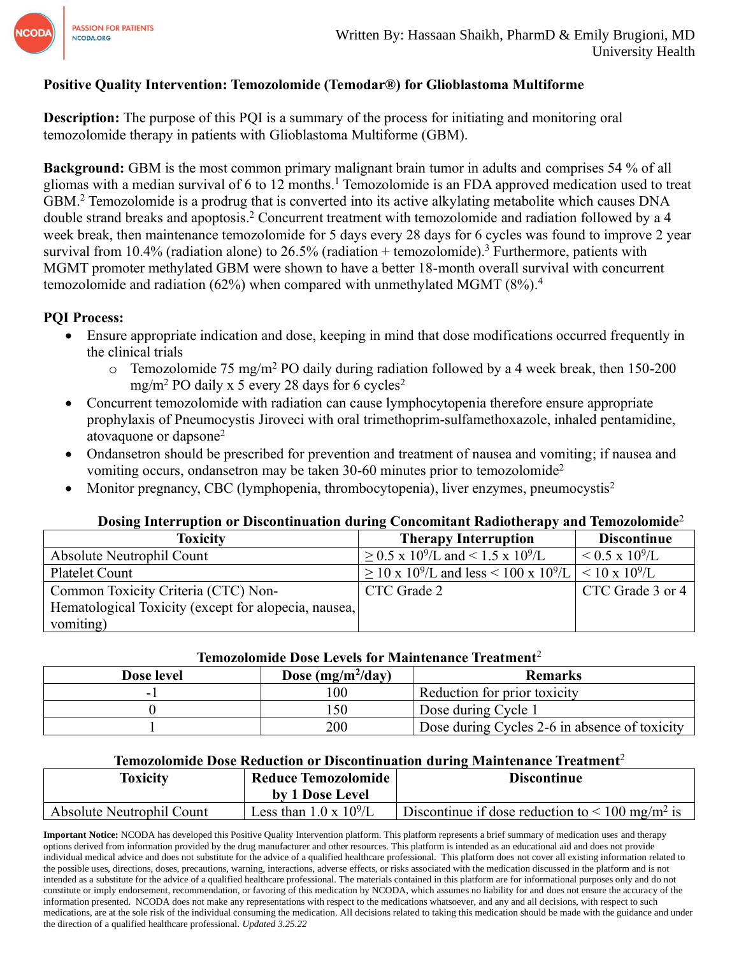

### **Positive Quality Intervention: Temozolomide (Temodar®) for Glioblastoma Multiforme**

**Description:** The purpose of this PQI is a summary of the process for initiating and monitoring oral temozolomide therapy in patients with Glioblastoma Multiforme (GBM).

**Background:** GBM is the most common primary malignant brain tumor in adults and comprises 54 % of all gliomas with a median survival of 6 to 12 months.<sup>1</sup> Temozolomide is an FDA approved medication used to treat GBM. <sup>2</sup> Temozolomide is a prodrug that is converted into its active alkylating metabolite which causes DNA double strand breaks and apoptosis. <sup>2</sup> Concurrent treatment with temozolomide and radiation followed by a 4 week break, then maintenance temozolomide for 5 days every 28 days for 6 cycles was found to improve 2 year survival from 10.4% (radiation alone) to 26.5% (radiation  $+$  temozolomide).<sup>3</sup> Furthermore, patients with MGMT promoter methylated GBM were shown to have a better 18-month overall survival with concurrent temozolomide and radiation (62%) when compared with unmethylated MGMT (8%).<sup>4</sup>

### **PQI Process:**

- Ensure appropriate indication and dose, keeping in mind that dose modifications occurred frequently in the clinical trials
	- o Temozolomide 75 mg/m<sup>2</sup> PO daily during radiation followed by a 4 week break, then 150-200 mg/m<sup>2</sup> PO daily x 5 every 28 days for 6 cycles<sup>2</sup>
- Concurrent temozolomide with radiation can cause lymphocytopenia therefore ensure appropriate prophylaxis of Pneumocystis Jiroveci with oral trimethoprim-sulfamethoxazole, inhaled pentamidine, atovaquone or dapsone<sup>2</sup>
- Ondansetron should be prescribed for prevention and treatment of nausea and vomiting; if nausea and vomiting occurs, ondansetron may be taken 30-60 minutes prior to temozolomide<sup>2</sup>
- Monitor pregnancy, CBC (lymphopenia, thrombocytopenia), liver enzymes, pneumocystis<sup>2</sup>

### **Dosing Interruption or Discontinuation during Concomitant Radiotherapy and Temozolomide**<sup>2</sup>

| Toxicity                                             | <b>Therapy Interruption</b>                                                                    | <b>Discontinue</b>      |
|------------------------------------------------------|------------------------------------------------------------------------------------------------|-------------------------|
| Absolute Neutrophil Count                            | $\geq$ 0.5 x 10 <sup>9</sup> /L and < 1.5 x 10 <sup>9</sup> /L                                 | $< 0.5 \times 10^{9}/L$ |
| Platelet Count                                       | $\geq$ 10 x 10 <sup>9</sup> /L and less < 100 x 10 <sup>9</sup> /L   < 10 x 10 <sup>9</sup> /L |                         |
| Common Toxicity Criteria (CTC) Non-                  | CTC Grade 2                                                                                    | CTC Grade 3 or 4        |
| Hematological Toxicity (except for alopecia, nausea, |                                                                                                |                         |
| vomiting)                                            |                                                                                                |                         |

#### **Temozolomide Dose Levels for Maintenance Treatment**<sup>2</sup>

| Dose level | Dose (mg/m <sup>2</sup> /day) | Remarks                                       |
|------------|-------------------------------|-----------------------------------------------|
| - 1        | 100                           | Reduction for prior toxicity                  |
|            | .50                           | Dose during Cycle 1                           |
|            | 200                           | Dose during Cycles 2-6 in absence of toxicity |

### **Temozolomide Dose Reduction or Discontinuation during Maintenance Treatment**<sup>2</sup>

| <b>Toxicity</b>           | <b>Reduce Temozolomide</b>     | <b>Discontinue</b>                                                            |
|---------------------------|--------------------------------|-------------------------------------------------------------------------------|
|                           | by 1 Dose Level                |                                                                               |
| Absolute Neutrophil Count | Less than $1.0 \times 10^9$ /L | <sup>1</sup> Discontinue if dose reduction to $\leq 100$ mg/m <sup>2</sup> is |

**Important Notice:** NCODA has developed this Positive Quality Intervention platform. This platform represents a brief summary of medication uses and therapy options derived from information provided by the drug manufacturer and other resources. This platform is intended as an educational aid and does not provide individual medical advice and does not substitute for the advice of a qualified healthcare professional. This platform does not cover all existing information related to the possible uses, directions, doses, precautions, warning, interactions, adverse effects, or risks associated with the medication discussed in the platform and is not intended as a substitute for the advice of a qualified healthcare professional. The materials contained in this platform are for informational purposes only and do not constitute or imply endorsement, recommendation, or favoring of this medication by NCODA, which assumes no liability for and does not ensure the accuracy of the information presented. NCODA does not make any representations with respect to the medications whatsoever, and any and all decisions, with respect to such medications, are at the sole risk of the individual consuming the medication. All decisions related to taking this medication should be made with the guidance and under the direction of a qualified healthcare professional. *Updated 3.25.22*